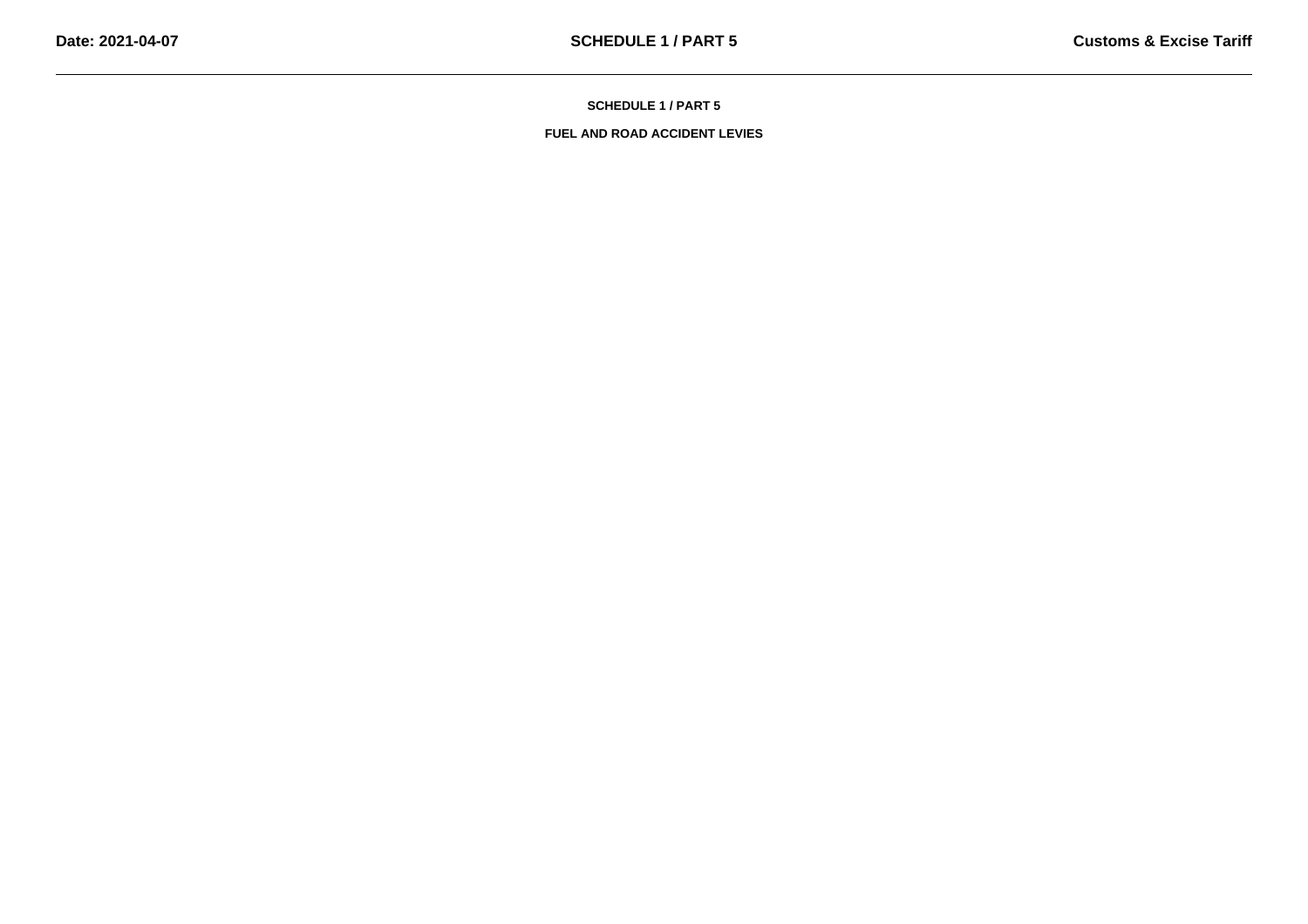**SCHEDULE 1 / PART 5**

**FUEL AND ROAD ACCIDENT LEVIES**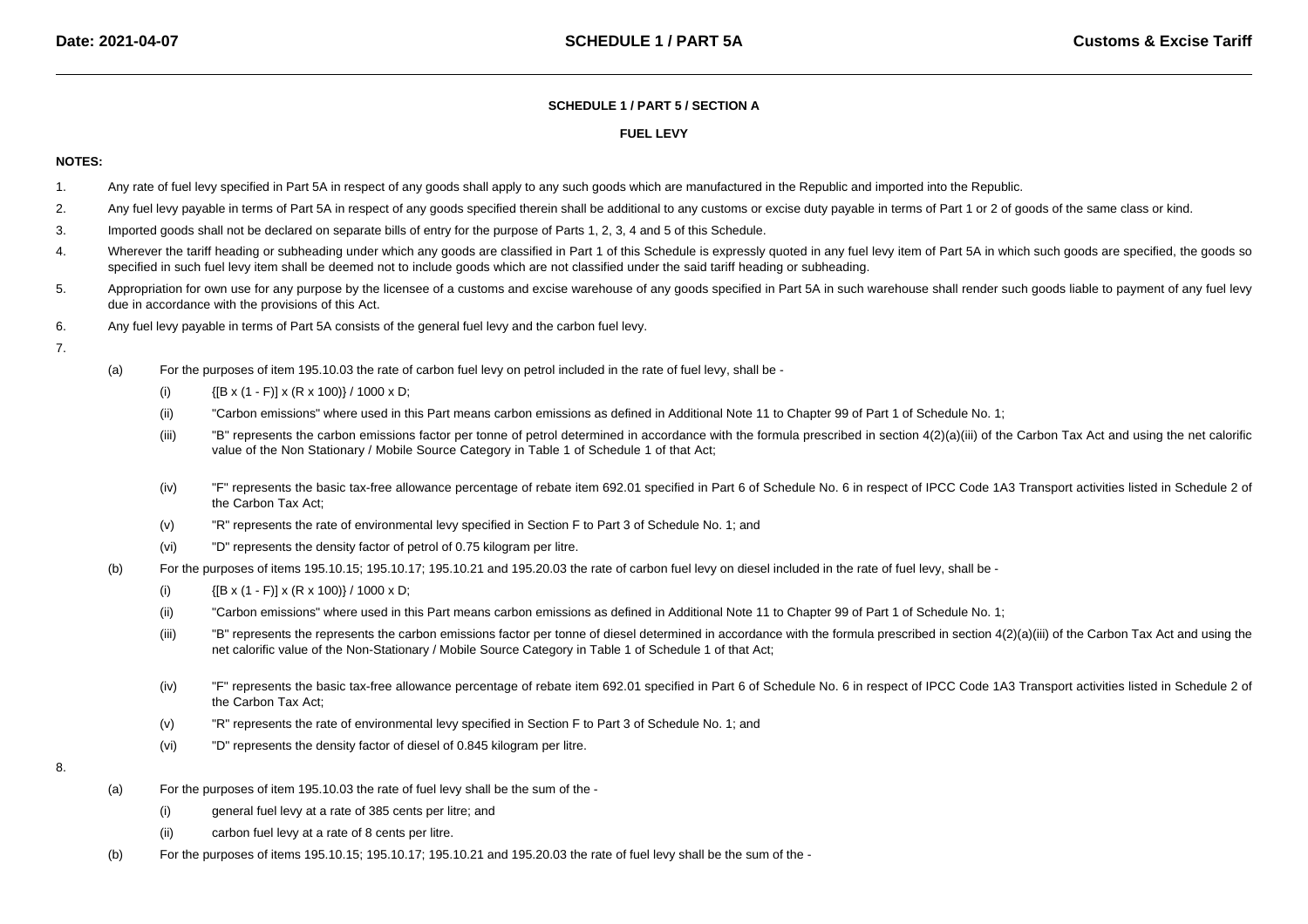## **SCHEDULE 1 / PART 5 / SECTION A**

## **FUEL LEVY**

## **NOTES:**

- 1.Any rate of fuel levy specified in Part 5A in respect of any goods shall apply to any such goods which are manufactured in the Republic and imported into the Republic.
- 2.Any fuel levy payable in terms of Part 5A in respect of any goods specified therein shall be additional to any customs or excise duty payable in terms of Part 1 or 2 of goods of the same class or kind.
- 3.Imported goods shall not be declared on separate bills of entry for the purpose of Parts 1, 2, 3, 4 and 5 of this Schedule.
- 4.Wherever the tariff heading or subheading under which any goods are classified in Part 1 of this Schedule is expressly quoted in any fuel levy item of Part 5A in which such goods are specified, the goods so specified in such fuel levy item shall be deemed not to include goods which are not classified under the said tariff heading or subheading.
- 5.Appropriation for own use for any purpose by the licensee of a customs and excise warehouse of any goods specified in Part 5A in such warehouse shall render such goods liable to payment of any fuel levy due in accordance with the provisions of this Act.
- 6.Any fuel levy payable in terms of Part 5A consists of the general fuel levy and the carbon fuel levy.
- 7.
- (a) For the purposes of item 195.10.03 the rate of carbon fuel levy on petrol included in the rate of fuel levy, shall be -
	- (i){[B x (1 - F)] x (R x 100)} / 1000 x D;
	- (ii)"Carbon emissions" where used in this Part means carbon emissions as defined in Additional Note 11 to Chapter 99 of Part 1 of Schedule No. 1;
	- (iii)"B" represents the carbon emissions factor per tonne of petrol determined in accordance with the formula prescribed in section 4(2)(a)(iii) of the Carbon Tax Act and using the net calorific value of the Non Stationary / Mobile Source Category in Table 1 of Schedule 1 of that Act;
	- (iv)"F" represents the basic tax-free allowance percentage of rebate item 692.01 specified in Part 6 of Schedule No. 6 in respect of IPCC Code 1A3 Transport activities listed in Schedule 2 of the Carbon Tax Act;
	- (v)"R" represents the rate of environmental levy specified in Section F to Part 3 of Schedule No. 1; and
	- (vi)"D" represents the density factor of petrol of 0.75 kilogram per litre.
- (b) For the purposes of items 195.10.15; 195.10.17; 195.10.21 and 195.20.03 the rate of carbon fuel levy on diesel included in the rate of fuel levy, shall be -
	- (i){[B x (1 - F)] x (R x 100)} / 1000 x D;
	- (ii)"Carbon emissions" where used in this Part means carbon emissions as defined in Additional Note 11 to Chapter 99 of Part 1 of Schedule No. 1;
	- (iii)"B" represents the represents the carbon emissions factor per tonne of diesel determined in accordance with the formula prescribed in section 4(2)(a)(iii) of the Carbon Tax Act and using the net calorific value of the Non-Stationary / Mobile Source Category in Table 1 of Schedule 1 of that Act;
	- (iv)"F" represents the basic tax-free allowance percentage of rebate item 692.01 specified in Part 6 of Schedule No. 6 in respect of IPCC Code 1A3 Transport activities listed in Schedule 2 of the Carbon Tax Act;
	- (v)"R" represents the rate of environmental levy specified in Section F to Part 3 of Schedule No. 1; and
	- (vi)"D" represents the density factor of diesel of 0.845 kilogram per litre.
- 8.
- (a) For the purposes of item 195.10.03 the rate of fuel levy shall be the sum of the -
	- (i)general fuel levy at a rate of 385 cents per litre; and
	- (ii)carbon fuel levy at a rate of 8 cents per litre.
- (b)For the purposes of items 195.10.15; 195.10.17; 195.10.21 and 195.20.03 the rate of fuel levy shall be the sum of the -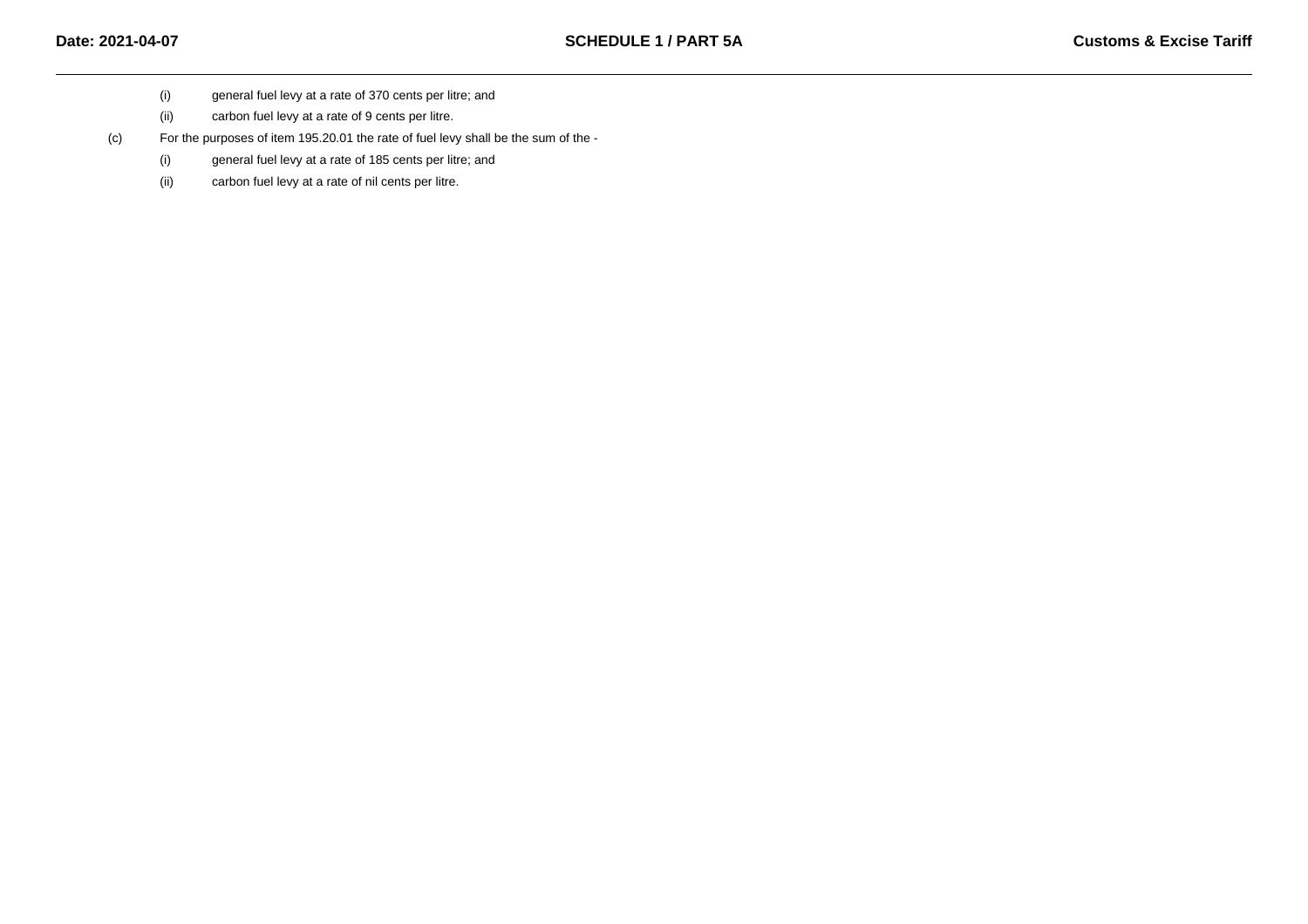- (i)general fuel levy at a rate of 370 cents per litre; and
- (ii)carbon fuel levy at a rate of 9 cents per litre.

(c)For the purposes of item 195.20.01 the rate of fuel levy shall be the sum of the -

- (i)general fuel levy at a rate of 185 cents per litre; and
- (ii)carbon fuel levy at a rate of nil cents per litre.